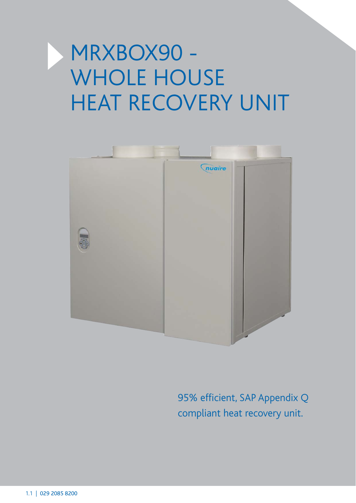# MRXBOX90 - WHOLE HOUSE HEAT RECOVERY UNIT



95% efficient, SAP Appendix Q compliant heat recovery unit.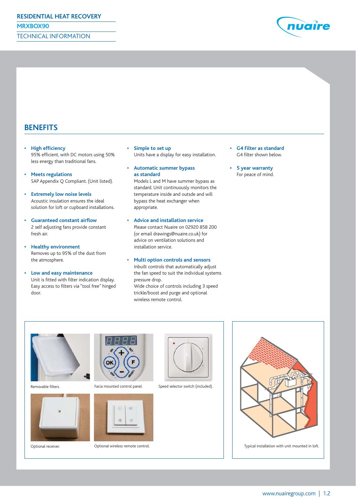

### **BENEFITS**

- **High efficiency** 95% efficient, with DC motors using 50% less energy than traditional fans.
- **Meets regulations** SAP Appendix Q Compliant. (Unit listed).
- **Extremely low noise levels** Acoustic insulation ensures the ideal solution for loft or cupboard installations.
- **Guaranteed constant airflow** 2 self adjusting fans provide constant fresh air.
- **Healthy environment** Removes up to 95% of the dust from the atmosphere.
- **Low and easy maintenance**  Unit is fitted with filter indication display. Easy access to filters via "tool free" hinged door.
- **Simple to set up** Units have a display for easy installation.
- **Automatic summer bypass as standard** Models L and M have summer bypass as

standard. Unit continuously monitors the temperature inside and outsde and will bypass the heat exchanger when appropriate.

- **Advice and installation service** Please contact Nuaire on 02920 858 200 (or email drawings@nuaire.co.uk) for advice on ventilation solutions and installation service.
- **Multi option controls and sensors** Inbuilt controls that automatically adjust the fan speed to suit the individual systems pressure drop.

Wide choice of controls including 3 speed trickle/boost and purge and optional wireless remote control.

- **G4 Filter as standard** G4 filter shown below.
- **5 year warranty** For peace of mind.







Removable filters. The motion of Facia mounted control panel.



Optional receiver. Optional wireless remote control.



Speed selector switch (included).

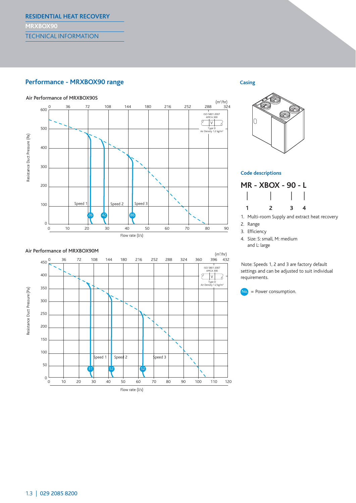#### **Performance - MRXBOX90 range Casing**







#### **Code descriptions**



1. Multi-room Supply and extract heat recovery

- 2. Range
- 3. Efficiency
- 4. Size: S: small, M: medium and L: large

Note: Speeds 1, 2 and 3 are factory default settings and can be adjusted to suit individual requirements.



## Air Performance of MRXBOX90S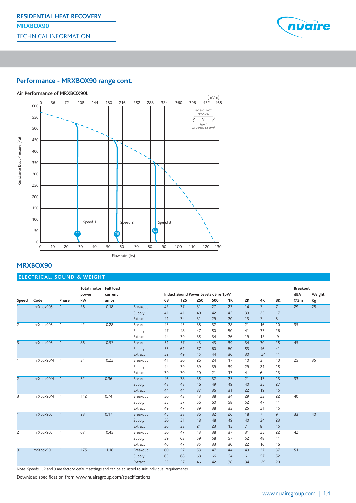

#### **Performance - MRXBOX90 range cont.**



#### **MRXBOX90**

#### **ELECTRICAL, SOUND & WEIGHT**

|                |           |                | Total motor Full load |         |                 |    | Induct Sound Power Levels dB re 1pW |     |     |    |                |                |                 | <b>Breakout</b> |        |
|----------------|-----------|----------------|-----------------------|---------|-----------------|----|-------------------------------------|-----|-----|----|----------------|----------------|-----------------|-----------------|--------|
|                |           |                | power                 | current |                 |    |                                     |     |     |    |                |                |                 | dBA             | Weight |
| Speed          | Code      | Phase          | kW                    | amps    |                 | 63 | 125                                 | 250 | 500 | 1K | 2K             | 4K             | <b>8K</b>       | @3m             | Kg     |
|                | mrXbox90S | $\mathbf{1}$   | 26                    | 0.18    | <b>Breakout</b> | 42 | $\overline{37}$                     | 31  | 27  | 22 | 14             | $7^{-}$        | $\overline{7}$  | 29              | 28     |
|                |           |                |                       |         | Supply          | 41 | 41                                  | 40  | 42  | 42 | 33             | 23             | 17              |                 |        |
|                |           |                |                       |         | Extract         | 41 | 34                                  | 31  | 29  | 20 | 13             | $7^{\circ}$    | 8               |                 |        |
| $\mathsf{Z}$   | mrXbox90S | $\overline{1}$ | 42                    | 0.28    | Breakout        | 43 | 43                                  | 38  | 32  | 28 | 21             | 16             | 10              | 35              |        |
|                |           |                |                       |         | Supply          | 47 | 48                                  | 47  | 50  | 50 | 41             | 33             | 26              |                 |        |
|                |           |                |                       |         | Extract         | 44 | 39                                  | 35  | 34  | 26 | 19             | 12             | 9               |                 |        |
| $\overline{3}$ | mrXbox90S | $\overline{1}$ | 86                    | 0.57    | <b>Breakout</b> | 51 | 57                                  | 43  | 43  | 39 | 34             | 30             | 25              | 45              |        |
|                |           |                |                       |         | Supply          | 55 | 61                                  | 57  | 60  | 60 | 53             | 46             | 41              |                 |        |
|                |           |                |                       |         | Extract         | 52 | 49                                  | 45  | 44  | 36 | 30             | 24             | 11              |                 |        |
| $\mathbf{1}$   | mrXbox90M | $\overline{1}$ | 31                    | 0.22    | Breakout        | 41 | 30                                  | 26  | 24  | 17 | 10             | $\overline{3}$ | 10              | 25              | 35     |
|                |           |                |                       |         | Supply          | 44 | 39                                  | 39  | 39  | 39 | 29             | 21             | 15              |                 |        |
|                |           |                |                       |         | Extract         | 39 | 30                                  | 20  | 21  | 13 | 4              | 6              | 13              |                 |        |
| $\overline{2}$ | mrXbox90M | $\overline{1}$ | 52                    | 0.36    | <b>Breakout</b> | 46 | 38                                  | 35  | 32  | 27 | 21             | 13             | 13              | 33              |        |
|                |           |                |                       |         | Supply          | 48 | 48                                  | 46  | 49  | 49 | 40             | 35             | 27              |                 |        |
|                |           |                |                       |         | Extract         | 44 | 44                                  | 37  | 36  | 31 | 22             | 19             | 15              |                 |        |
| 3              | mrXbox90M | $\overline{1}$ | 112                   | 0.74    | <b>Breakout</b> | 50 | 43                                  | 43  | 38  | 34 | 29             | 23             | 22              | 40              |        |
|                |           |                |                       |         | Supply          | 55 | 57                                  | 56  | 60  | 58 | 52             | 47             | 41              |                 |        |
|                |           |                |                       |         | Extract         | 49 | 47                                  | 39  | 38  | 33 | 25             | 21             | 15              |                 |        |
| $\mathbf{1}$   | mrXbox90L | $\mathbf{1}$   | 23                    | 0.17    | <b>Breakout</b> | 45 | 38                                  | 36  | 32  | 26 | 18             | $\overline{7}$ | $\overline{9}$  | 33              | 40     |
|                |           |                |                       |         | Supply          | 50 | 51                                  | 48  | 48  | 49 | 40             | 34             | 23              |                 |        |
|                |           |                |                       |         | Extract         | 36 | 33                                  | 21  | 23  | 15 | $\overline{7}$ | 8              | 15              |                 |        |
| $\mathsf{Z}$   | mrXbox90L | $\mathbf{1}$   | 67                    | 0.45    | Breakout        | 50 | 47                                  | 43  | 38  | 37 | 31             | 25             | 22              | 42              |        |
|                |           |                |                       |         | Supply          | 59 | 63                                  | 59  | 58  | 57 | 52             | 48             | 41              |                 |        |
|                |           |                |                       |         | Extract         | 46 | 47                                  | 35  | 33  | 30 | 22             | 16             | 16              |                 |        |
| $\overline{3}$ | mrXbox90L | $\overline{1}$ | 175                   | 1.16    | Breakout        | 60 | 57                                  | 53  | 47  | 44 | 43             | 37             | $\overline{37}$ | 51              |        |
|                |           |                |                       |         | Supply          | 65 | 68                                  | 68  | 66  | 64 | 61             | 57             | 52              |                 |        |
|                |           |                |                       |         | Extract         | 52 | 57                                  | 46  | 42  | 38 | 34             | 29             | 20              |                 |        |

Note: Speeds 1, 2 and 3 are factory default settings and can be adjusted to suit individual requirements.

Download specification from www.nuairegroup.com/specifications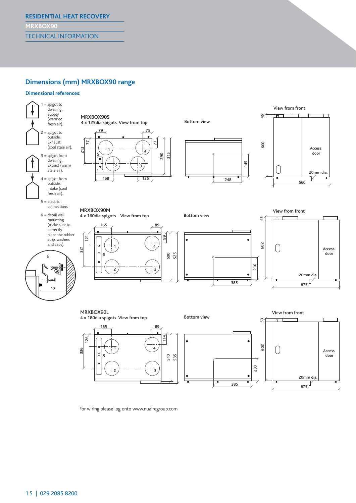#### **Dimensions (mm) MRXBOX90 range**

#### **Dimensional references:**



 $675$ 

20mm dia.

385

For wiring please log onto www.nuairegroup.com

 $\frac{1}{3}$ 

2